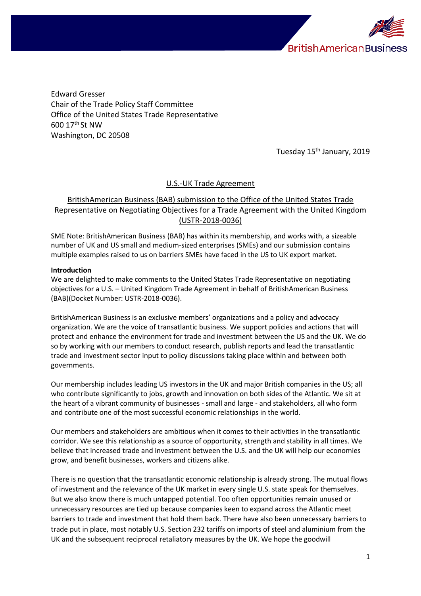

Edward Gresser Chair of the Trade Policy Staff Committee Office of the United States Trade Representative 600 17th St NW Washington, DC 20508

Tuesday 15<sup>th</sup> January, 2019

## U.S.-UK Trade Agreement

# BritishAmerican Business (BAB) submission to the Office of the United States Trade Representative on Negotiating Objectives for a Trade Agreement with the United Kingdom (USTR-2018-0036)

SME Note: BritishAmerican Business (BAB) has within its membership, and works with, a sizeable number of UK and US small and medium-sized enterprises (SMEs) and our submission contains multiple examples raised to us on barriers SMEs have faced in the US to UK export market.

### **Introduction**

We are delighted to make comments to the United States Trade Representative on negotiating objectives for a U.S. – United Kingdom Trade Agreement in behalf of BritishAmerican Business (BAB)(Docket Number: USTR-2018-0036).

BritishAmerican Business is an exclusive members' organizations and a policy and advocacy organization. We are the voice of transatlantic business. We support policies and actions that will protect and enhance the environment for trade and investment between the US and the UK. We do so by working with our members to conduct research, publish reports and lead the transatlantic trade and investment sector input to policy discussions taking place within and between both governments.

Our membership includes leading US investors in the UK and major British companies in the US; all who contribute significantly to jobs, growth and innovation on both sides of the Atlantic. We sit at the heart of a vibrant community of businesses - small and large - and stakeholders, all who form and contribute one of the most successful economic relationships in the world.

Our members and stakeholders are ambitious when it comes to their activities in the transatlantic corridor. We see this relationship as a source of opportunity, strength and stability in all times. We believe that increased trade and investment between the U.S. and the UK will help our economies grow, and benefit businesses, workers and citizens alike.

There is no question that the transatlantic economic relationship is already strong. The mutual flows of investment and the relevance of the UK market in every single U.S. state speak for themselves. But we also know there is much untapped potential. Too often opportunities remain unused or unnecessary resources are tied up because companies keen to expand across the Atlantic meet barriers to trade and investment that hold them back. There have also been unnecessary barriers to trade put in place, most notably U.S. Section 232 tariffs on imports of steel and aluminium from the UK and the subsequent reciprocal retaliatory measures by the UK. We hope the goodwill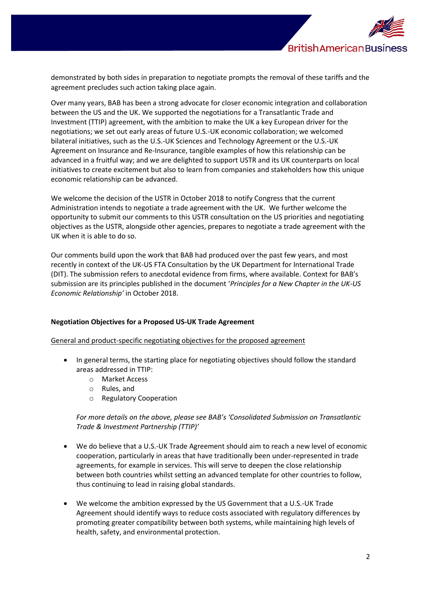

demonstrated by both sides in preparation to negotiate prompts the removal of these tariffs and the agreement precludes such action taking place again.

Over many years, BAB has been a strong advocate for closer economic integration and collaboration between the US and the UK. We supported the negotiations for a Transatlantic Trade and Investment (TTIP) agreement, with the ambition to make the UK a key European driver for the negotiations; we set out early areas of future U.S.-UK economic collaboration; we welcomed bilateral initiatives, such as the U.S.-UK Sciences and Technology Agreement or the U.S.-UK Agreement on Insurance and Re-Insurance, tangible examples of how this relationship can be advanced in a fruitful way; and we are delighted to support USTR and its UK counterparts on local initiatives to create excitement but also to learn from companies and stakeholders how this unique economic relationship can be advanced.

We welcome the decision of the USTR in October 2018 to notify Congress that the current Administration intends to negotiate a trade agreement with the UK. We further welcome the opportunity to submit our comments to this USTR consultation on the US priorities and negotiating objectives as the USTR, alongside other agencies, prepares to negotiate a trade agreement with the UK when it is able to do so.

Our comments build upon the work that BAB had produced over the past few years, and most recently in context of the UK-US FTA Consultation by the UK Department for International Trade (DIT). The submission refers to anecdotal evidence from firms, where available. Context for BAB's submission are its principles published in the document '*Principles for a New Chapter in the UK-US Economic Relationship'* in October 2018.

## **Negotiation Objectives for a Proposed US-UK Trade Agreement**

General and product-specific negotiating objectives for the proposed agreement

- In general terms, the starting place for negotiating objectives should follow the standard areas addressed in TTIP:
	- o Market Access
	- o Rules, and
	- o Regulatory Cooperation

*For more details on the above, please see BAB's 'Consolidated Submission on Transatlantic Trade & Investment Partnership (TTIP)'*

- We do believe that a U.S.-UK Trade Agreement should aim to reach a new level of economic cooperation, particularly in areas that have traditionally been under-represented in trade agreements, for example in services. This will serve to deepen the close relationship between both countries whilst setting an advanced template for other countries to follow, thus continuing to lead in raising global standards.
- We welcome the ambition expressed by the US Government that a U.S.-UK Trade Agreement should identify ways to reduce costs associated with regulatory differences by promoting greater compatibility between both systems, while maintaining high levels of health, safety, and environmental protection.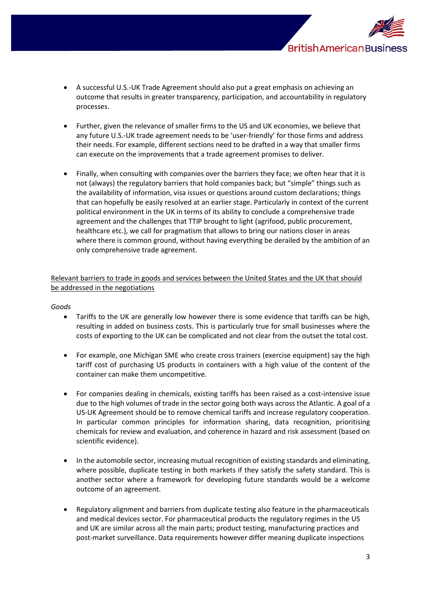

- A successful U.S.-UK Trade Agreement should also put a great emphasis on achieving an outcome that results in greater transparency, participation, and accountability in regulatory processes.
- Further, given the relevance of smaller firms to the US and UK economies, we believe that any future U.S.-UK trade agreement needs to be 'user-friendly' for those firms and address their needs. For example, different sections need to be drafted in a way that smaller firms can execute on the improvements that a trade agreement promises to deliver.
- Finally, when consulting with companies over the barriers they face; we often hear that it is not (always) the regulatory barriers that hold companies back; but "simple" things such as the availability of information, visa issues or questions around custom declarations; things that can hopefully be easily resolved at an earlier stage. Particularly in context of the current political environment in the UK in terms of its ability to conclude a comprehensive trade agreement and the challenges that TTIP brought to light (agrifood, public procurement, healthcare etc.), we call for pragmatism that allows to bring our nations closer in areas where there is common ground, without having everything be derailed by the ambition of an only comprehensive trade agreement.

## Relevant barriers to trade in goods and services between the United States and the UK that should be addressed in the negotiations

*Goods* 

- Tariffs to the UK are generally low however there is some evidence that tariffs can be high, resulting in added on business costs. This is particularly true for small businesses where the costs of exporting to the UK can be complicated and not clear from the outset the total cost.
- For example, one Michigan SME who create cross trainers (exercise equipment) say the high tariff cost of purchasing US products in containers with a high value of the content of the container can make them uncompetitive.
- For companies dealing in chemicals, existing tariffs has been raised as a cost-intensive issue due to the high volumes of trade in the sector going both ways across the Atlantic. A goal of a US-UK Agreement should be to remove chemical tariffs and increase regulatory cooperation. In particular common principles for information sharing, data recognition, prioritising chemicals for review and evaluation, and coherence in hazard and risk assessment (based on scientific evidence).
- In the automobile sector, increasing mutual recognition of existing standards and eliminating, where possible, duplicate testing in both markets if they satisfy the safety standard. This is another sector where a framework for developing future standards would be a welcome outcome of an agreement.
- Regulatory alignment and barriers from duplicate testing also feature in the pharmaceuticals and medical devices sector. For pharmaceutical products the regulatory regimes in the US and UK are similar across all the main parts; product testing, manufacturing practices and post-market surveillance. Data requirements however differ meaning duplicate inspections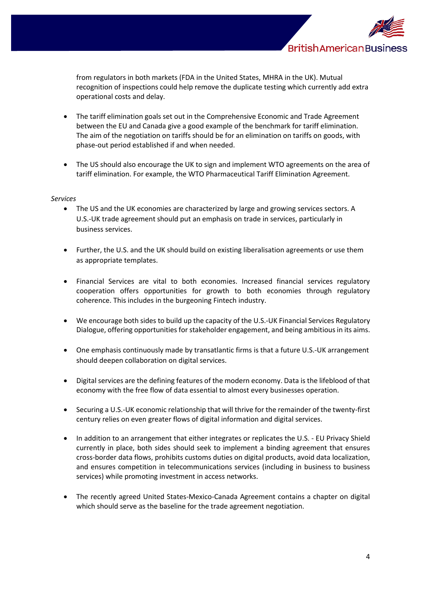

from regulators in both markets (FDA in the United States, MHRA in the UK). Mutual recognition of inspections could help remove the duplicate testing which currently add extra operational costs and delay.

- The tariff elimination goals set out in the Comprehensive Economic and Trade Agreement between the EU and Canada give a good example of the benchmark for tariff elimination. The aim of the negotiation on tariffs should be for an elimination on tariffs on goods, with phase-out period established if and when needed.
- The US should also encourage the UK to sign and implement WTO agreements on the area of tariff elimination. For example, the WTO Pharmaceutical Tariff Elimination Agreement.

### *Services*

- The US and the UK economies are characterized by large and growing services sectors. A U.S.-UK trade agreement should put an emphasis on trade in services, particularly in business services.
- Further, the U.S. and the UK should build on existing liberalisation agreements or use them as appropriate templates.
- Financial Services are vital to both economies. Increased financial services regulatory cooperation offers opportunities for growth to both economies through regulatory coherence. This includes in the burgeoning Fintech industry.
- We encourage both sides to build up the capacity of the U.S.-UK Financial Services Regulatory Dialogue, offering opportunities for stakeholder engagement, and being ambitious in its aims.
- One emphasis continuously made by transatlantic firms is that a future U.S.-UK arrangement should deepen collaboration on digital services.
- Digital services are the defining features of the modern economy. Data is the lifeblood of that economy with the free flow of data essential to almost every businesses operation.
- Securing a U.S.-UK economic relationship that will thrive for the remainder of the twenty-first century relies on even greater flows of digital information and digital services.
- In addition to an arrangement that either integrates or replicates the U.S. EU Privacy Shield currently in place, both sides should seek to implement a binding agreement that ensures cross-border data flows, prohibits customs duties on digital products, avoid data localization, and ensures competition in telecommunications services (including in business to business services) while promoting investment in access networks.
- The recently agreed United States-Mexico-Canada Agreement contains a chapter on digital which should serve as the baseline for the trade agreement negotiation.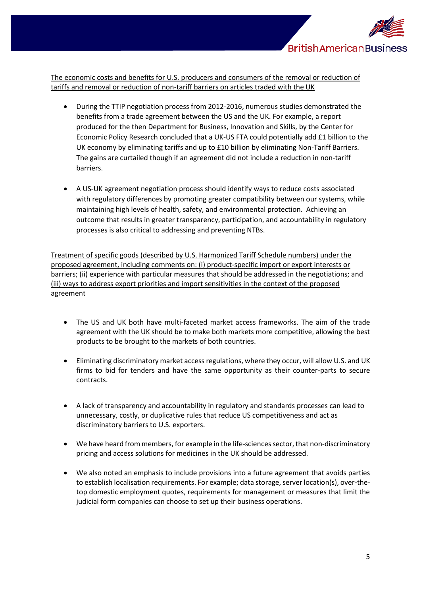

The economic costs and benefits for U.S. producers and consumers of the removal or reduction of tariffs and removal or reduction of non-tariff barriers on articles traded with the UK

- During the TTIP negotiation process from 2012-2016, numerous studies demonstrated the benefits from a trade agreement between the US and the UK. For example, a report produced for the then Department for Business, Innovation and Skills, by the Center for Economic Policy Research concluded that a UK-US FTA could potentially add £1 billion to the UK economy by eliminating tariffs and up to £10 billion by eliminating Non-Tariff Barriers. The gains are curtailed though if an agreement did not include a reduction in non-tariff barriers.
- A US-UK agreement negotiation process should identify ways to reduce costs associated with regulatory differences by promoting greater compatibility between our systems, while maintaining high levels of health, safety, and environmental protection. Achieving an outcome that results in greater transparency, participation, and accountability in regulatory processes is also critical to addressing and preventing NTBs.

Treatment of specific goods (described by U.S. Harmonized Tariff Schedule numbers) under the proposed agreement, including comments on: (i) product-specific import or export interests or barriers; (ii) experience with particular measures that should be addressed in the negotiations; and (iii) ways to address export priorities and import sensitivities in the context of the proposed agreement

- The US and UK both have multi-faceted market access frameworks. The aim of the trade agreement with the UK should be to make both markets more competitive, allowing the best products to be brought to the markets of both countries.
- Eliminating discriminatory market access regulations, where they occur, will allow U.S. and UK firms to bid for tenders and have the same opportunity as their counter-parts to secure contracts.
- A lack of transparency and accountability in regulatory and standards processes can lead to unnecessary, costly, or duplicative rules that reduce US competitiveness and act as discriminatory barriers to U.S. exporters.
- We have heard from members, for example in the life-sciences sector, that non-discriminatory pricing and access solutions for medicines in the UK should be addressed.
- We also noted an emphasis to include provisions into a future agreement that avoids parties to establish localisation requirements. For example; data storage, server location(s), over-thetop domestic employment quotes, requirements for management or measures that limit the judicial form companies can choose to set up their business operations.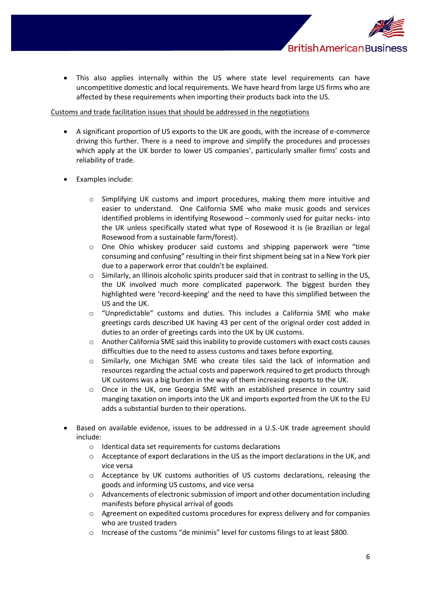

This also applies internally within the US where state level requirements can have uncompetitive domestic and local requirements. We have heard from large US firms who are affected by these requirements when importing their products back into the US.

## Customs and trade facilitation issues that should be addressed in the negotiations

- A significant proportion of US exports to the UK are goods, with the increase of e-commerce driving this further. There is a need to improve and simplify the procedures and processes which apply at the UK border to lower US companies', particularly smaller firms' costs and reliability of trade.
- Examples include:
	- o Simplifying UK customs and import procedures, making them more intuitive and easier to understand. One California SME who make music goods and services identified problems in identifying Rosewood – commonly used for guitar necks- into the UK unless specifically stated what type of Rosewood it is (ie Brazilian or legal Rosewood from a sustainable farm/forest).
	- o One Ohio whiskey producer said customs and shipping paperwork were "time consuming and confusing" resulting in their first shipment being sat in a New York pier due to a paperwork error that couldn't be explained.
	- $\circ$  Similarly, an Illinois alcoholic spirits producer said that in contrast to selling in the US, the UK involved much more complicated paperwork. The biggest burden they highlighted were 'record-keeping' and the need to have this simplified between the US and the UK.
	- o "Unpredictable" customs and duties. This includes a California SME who make greetings cards described UK having 43 per cent of the original order cost added in duties to an order of greetings cards into the UK by UK customs.
	- o Another California SME said this inability to provide customers with exact costs causes difficulties due to the need to assess customs and taxes before exporting.
	- o Similarly, one Michigan SME who create tiles said the lack of information and resources regarding the actual costs and paperwork required to get products through UK customs was a big burden in the way of them increasing exports to the UK.
	- o Once in the UK, one Georgia SME with an established presence in country said manging taxation on imports into the UK and imports exported from the UK to the EU adds a substantial burden to their operations.
- Based on available evidence, issues to be addressed in a U.S.-UK trade agreement should include:
	- o Identical data set requirements for customs declarations
	- o Acceptance of export declarations in the US as the import declarations in the UK, and vice versa
	- o Acceptance by UK customs authorities of US customs declarations, releasing the goods and informing US customs, and vice versa
	- $\circ$  Advancements of electronic submission of import and other documentation including manifests before physical arrival of goods
	- $\circ$  Agreement on expedited customs procedures for express delivery and for companies who are trusted traders
	- o Increase of the customs "de minimis" level for customs filings to at least \$800.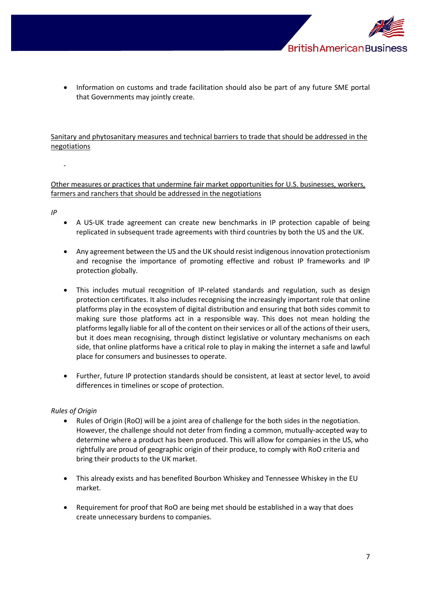

• Information on customs and trade facilitation should also be part of any future SME portal that Governments may jointly create.

Sanitary and phytosanitary measures and technical barriers to trade that should be addressed in the negotiations

Other measures or practices that undermine fair market opportunities for U.S. businesses, workers, farmers and ranchers that should be addressed in the negotiations

*IP* 

-

- A US-UK trade agreement can create new benchmarks in IP protection capable of being replicated in subsequent trade agreements with third countries by both the US and the UK.
- Any agreement between the US and the UK should resist indigenous innovation protectionism and recognise the importance of promoting effective and robust IP frameworks and IP protection globally.
- This includes mutual recognition of IP-related standards and regulation, such as design protection certificates. It also includes recognising the increasingly important role that online platforms play in the ecosystem of digital distribution and ensuring that both sides commit to making sure those platforms act in a responsible way. This does not mean holding the platforms legally liable for all of the content on their services or all of the actions of their users, but it does mean recognising, through distinct legislative or voluntary mechanisms on each side, that online platforms have a critical role to play in making the internet a safe and lawful place for consumers and businesses to operate.
- Further, future IP protection standards should be consistent, at least at sector level, to avoid differences in timelines or scope of protection.

## *Rules of Origin*

- Rules of Origin (RoO) will be a joint area of challenge for the both sides in the negotiation. However, the challenge should not deter from finding a common, mutually-accepted way to determine where a product has been produced. This will allow for companies in the US, who rightfully are proud of geographic origin of their produce, to comply with RoO criteria and bring their products to the UK market.
- This already exists and has benefited Bourbon Whiskey and Tennessee Whiskey in the EU market.
- Requirement for proof that RoO are being met should be established in a way that does create unnecessary burdens to companies.